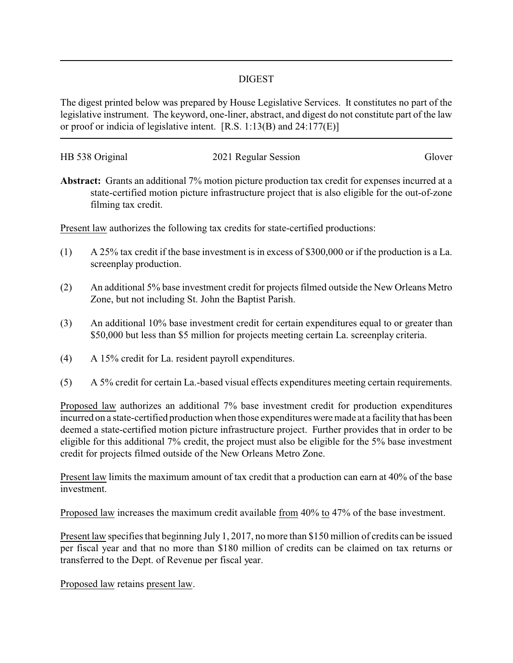## DIGEST

The digest printed below was prepared by House Legislative Services. It constitutes no part of the legislative instrument. The keyword, one-liner, abstract, and digest do not constitute part of the law or proof or indicia of legislative intent. [R.S. 1:13(B) and 24:177(E)]

| HB 538 Original |                      | Glover |
|-----------------|----------------------|--------|
|                 | 2021 Regular Session |        |

**Abstract:** Grants an additional 7% motion picture production tax credit for expenses incurred at a state-certified motion picture infrastructure project that is also eligible for the out-of-zone filming tax credit.

Present law authorizes the following tax credits for state-certified productions:

- (1) A 25% tax credit if the base investment is in excess of \$300,000 or if the production is a La. screenplay production.
- (2) An additional 5% base investment credit for projects filmed outside the New Orleans Metro Zone, but not including St. John the Baptist Parish.
- (3) An additional 10% base investment credit for certain expenditures equal to or greater than \$50,000 but less than \$5 million for projects meeting certain La. screenplay criteria.
- (4) A 15% credit for La. resident payroll expenditures.
- (5) A 5% credit for certain La.-based visual effects expenditures meeting certain requirements.

Proposed law authorizes an additional 7% base investment credit for production expenditures incurred on a state-certified production when those expenditures were made at a facility that has been deemed a state-certified motion picture infrastructure project. Further provides that in order to be eligible for this additional 7% credit, the project must also be eligible for the 5% base investment credit for projects filmed outside of the New Orleans Metro Zone.

Present law limits the maximum amount of tax credit that a production can earn at 40% of the base investment.

Proposed law increases the maximum credit available from 40% to 47% of the base investment.

Present law specifies that beginning July 1, 2017, no more than \$150 million of credits can be issued per fiscal year and that no more than \$180 million of credits can be claimed on tax returns or transferred to the Dept. of Revenue per fiscal year.

Proposed law retains present law.